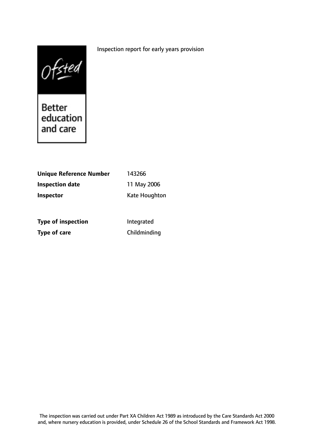# Inspection report for early years provision



and care

| <b>Unique Reference Number</b> | 143266        |
|--------------------------------|---------------|
| <b>Inspection date</b>         | 11 May 2006   |
| <b>Inspector</b>               | Kate Houghton |
|                                |               |

**Type of inspection** Integrated **Type of care** Childminding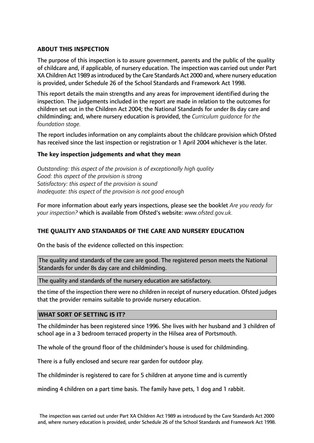# **ABOUT THIS INSPECTION**

The purpose of this inspection is to assure government, parents and the public of the quality of childcare and, if applicable, of nursery education. The inspection was carried out under Part XA Children Act 1989 as introduced by the Care Standards Act 2000 and, where nursery education is provided, under Schedule 26 of the School Standards and Framework Act 1998.

This report details the main strengths and any areas for improvement identified during the inspection. The judgements included in the report are made in relation to the outcomes for children set out in the Children Act 2004; the National Standards for under 8s day care and childminding; and, where nursery education is provided, the *Curriculum guidance for the foundation stage.*

The report includes information on any complaints about the childcare provision which Ofsted has received since the last inspection or registration or 1 April 2004 whichever is the later.

# **The key inspection judgements and what they mean**

*Outstanding: this aspect of the provision is of exceptionally high quality Good: this aspect of the provision is strong Satisfactory: this aspect of the provision is sound Inadequate: this aspect of the provision is not good enough*

For more information about early years inspections, please see the booklet *Are you ready for your inspection?* which is available from Ofsted's website: *www.ofsted.gov.uk.*

# **THE QUALITY AND STANDARDS OF THE CARE AND NURSERY EDUCATION**

On the basis of the evidence collected on this inspection:

The quality and standards of the care are good. The registered person meets the National Standards for under 8s day care and childminding.

The quality and standards of the nursery education are satisfactory.

the time of the inspection there were no children in receipt of nursery education. Ofsted judges that the provider remains suitable to provide nursery education.

### **WHAT SORT OF SETTING IS IT?**

The childminder has been registered since 1996. She lives with her husband and 3 children of school age in a 3 bedroom terraced property in the Hilsea area of Portsmouth.

The whole of the ground floor of the childminder's house is used for childminding.

There is a fully enclosed and secure rear garden for outdoor play.

The childminder is registered to care for 5 children at anyone time and is currently

minding 4 children on a part time basis. The family have pets, 1 dog and 1 rabbit.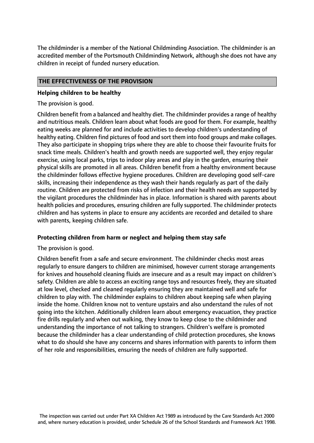The childminder is a member of the National Childminding Association. The childminder is an accredited member of the Portsmouth Childminding Network, although she does not have any children in receipt of funded nursery education.

# **THE EFFECTIVENESS OF THE PROVISION**

# **Helping children to be healthy**

The provision is good.

Children benefit from a balanced and healthy diet. The childminder provides a range of healthy and nutritious meals. Children learn about what foods are good for them. For example, healthy eating weeks are planned for and include activities to develop children's understanding of healthy eating. Children find pictures of food and sort them into food groups and make collages. They also participate in shopping trips where they are able to choose their favourite fruits for snack time meals. Children's health and growth needs are supported well, they enjoy regular exercise, using local parks, trips to indoor play areas and play in the garden, ensuring their physical skills are promoted in all areas. Children benefit from a healthy environment because the childminder follows effective hygiene procedures. Children are developing good self-care skills, increasing their independence as they wash their hands regularly as part of the daily routine. Children are protected from risks of infection and their health needs are supported by the vigilant procedures the childminder has in place. Information is shared with parents about health policies and procedures, ensuring children are fully supported. The childminder protects children and has systems in place to ensure any accidents are recorded and detailed to share with parents, keeping children safe.

# **Protecting children from harm or neglect and helping them stay safe**

The provision is good.

Children benefit from a safe and secure environment. The childminder checks most areas regularly to ensure dangers to children are minimised, however current storage arrangements for knives and household cleaning fluids are insecure and as a result may impact on children's safety. Children are able to access an exciting range toys and resources freely, they are situated at low level, checked and cleaned regularly ensuring they are maintained well and safe for children to play with. The childminder explains to children about keeping safe when playing inside the home. Children know not to venture upstairs and also understand the rules of not going into the kitchen. Additionally children learn about emergency evacuation, they practice fire drills regularly and when out walking, they know to keep close to the childminder and understanding the importance of not talking to strangers. Children's welfare is promoted because the childminder has a clear understanding of child protection procedures, she knows what to do should she have any concerns and shares information with parents to inform them of her role and responsibilities, ensuring the needs of children are fully supported.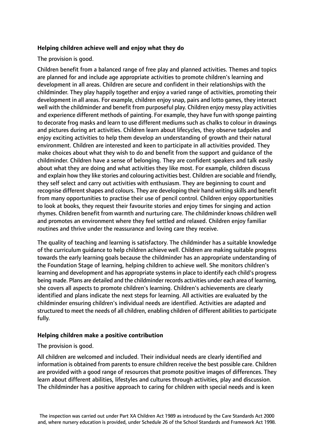# **Helping children achieve well and enjoy what they do**

The provision is good.

Children benefit from a balanced range of free play and planned activities. Themes and topics are planned for and include age appropriate activities to promote children's learning and development in all areas. Children are secure and confident in their relationships with the childminder. They play happily together and enjoy a varied range of activities, promoting their development in all areas. For example, children enjoy snap, pairs and lotto games, they interact well with the childminder and benefit from purposeful play. Children enjoy messy play activities and experience different methods of painting. For example, they have fun with sponge painting to decorate frog masks and learn to use different mediums such as chalks to colour in drawings and pictures during art activities. Children learn about lifecycles, they observe tadpoles and enjoy exciting activities to help them develop an understanding of growth and their natural environment. Children are interested and keen to participate in all activities provided. They make choices about what they wish to do and benefit from the support and guidance of the childminder. Children have a sense of belonging. They are confident speakers and talk easily about what they are doing and what activities they like most. For example, children discuss and explain how they like stories and colouring activities best. Children are sociable and friendly, they self select and carry out activities with enthusiasm. They are beginning to count and recognise different shapes and colours. They are developing their hand writing skills and benefit from many opportunities to practise their use of pencil control. Children enjoy opportunities to look at books, they request their favourite stories and enjoy times for singing and action rhymes. Children benefit from warmth and nurturing care. The childminder knows children well and promotes an environment where they feel settled and relaxed. Children enjoy familiar routines and thrive under the reassurance and loving care they receive.

The quality of teaching and learning is satisfactory. The childminder has a suitable knowledge of the curriculum guidance to help children achieve well. Children are making suitable progress towards the early learning goals because the childminder has an appropriate understanding of the Foundation Stage of learning, helping children to achieve well. She monitors children's learning and development and has appropriate systems in place to identify each child's progress being made. Plans are detailed and the childminder records activities under each area of learning, she covers all aspects to promote children's learning. Children's achievements are clearly identified and plans indicate the next steps for learning. All activities are evaluated by the childminder ensuring children's individual needs are identified. Activities are adapted and structured to meet the needs of all children, enabling children of different abilities to participate fully.

### **Helping children make a positive contribution**

The provision is good.

All children are welcomed and included. Their individual needs are clearly identified and information is obtained from parents to ensure children receive the best possible care. Children are provided with a good range of resources that promote positive images of differences. They learn about different abilities, lifestyles and cultures through activities, play and discussion. The childminder has a positive approach to caring for children with special needs and is keen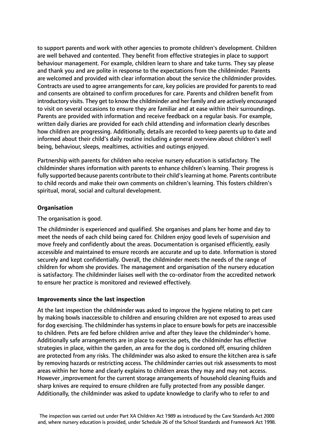to support parents and work with other agencies to promote children's development. Children are well behaved and contented. They benefit from effective strategies in place to support behaviour management. For example, children learn to share and take turns. They say please and thank you and are polite in response to the expectations from the childminder. Parents are welcomed and provided with clear information about the service the childminder provides. Contracts are used to agree arrangements for care, key policies are provided for parents to read and consents are obtained to confirm procedures for care. Parents and children benefit from introductory visits. They get to know the childminder and her family and are actively encouraged to visit on several occasions to ensure they are familiar and at ease within their surroundings. Parents are provided with information and receive feedback on a regular basis. For example, written daily diaries are provided for each child attending and information clearly describes how children are progressing. Additionally, details are recorded to keep parents up to date and informed about their child's daily routine including a general overview about children's well being, behaviour, sleeps, mealtimes, activities and outings enjoyed.

Partnership with parents for children who receive nursery education is satisfactory. The childminder shares information with parents to enhance children's learning. Their progress is fully supported because parents contribute to their child'slearning at home. Parents contribute to child records and make their own comments on children's learning. This fosters children's spiritual, moral, social and cultural development.

# **Organisation**

The organisation is good.

The childminder is experienced and qualified. She organises and plans her home and day to meet the needs of each child being cared for. Children enjoy good levels of supervision and move freely and confidently about the areas. Documentation is organised efficiently, easily accessible and maintained to ensure records are accurate and up to date. Information is stored securely and kept confidentially. Overall, the childminder meets the needs of the range of children for whom she provides. The management and organisation of the nursery education is satisfactory. The childminder liaises well with the co-ordinator from the accredited network to ensure her practice is monitored and reviewed effectively.

### **Improvements since the last inspection**

At the last inspection the childminder was asked to improve the hygiene relating to pet care by making bowls inaccessible to children and ensuring children are not exposed to areas used for dog exercising. The childminder has systems in place to ensure bowls for pets are inaccessible to children. Pets are fed before children arrive and after they leave the childminder's home. Additionally safe arrangements are in place to exercise pets, the childminder has effective strategies in place, within the garden, an area for the dog is cordoned off, ensuring children are protected from any risks. The childminder was also asked to ensure the kitchen area is safe by removing hazards or restricting access. The childminder carries out risk assessments to most areas within her home and clearly explains to children areas they may and may not access. However ,improvement for the current storage arrangements of household cleaning fluids and sharp knives are required to ensure children are fully protected from any possible danger. Additionally, the childminder was asked to update knowledge to clarify who to refer to and